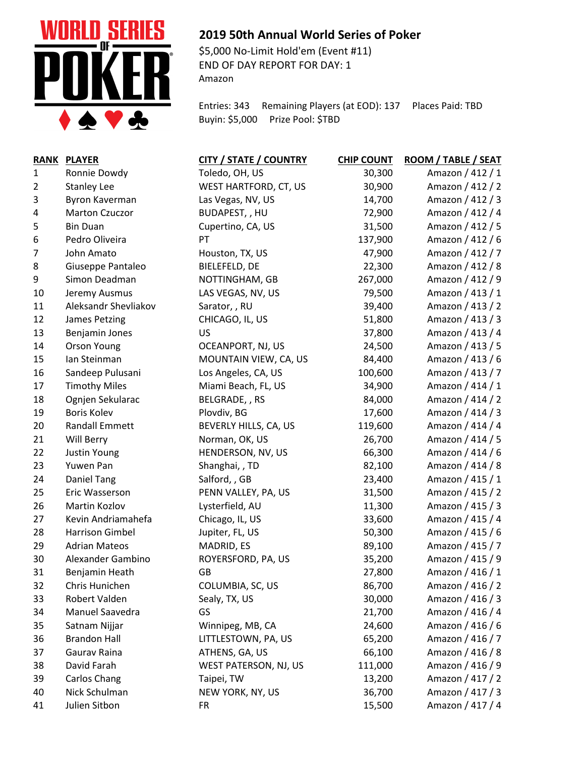

## **2019 50th Annual World Series of Poker**

\$5,000 No-Limit Hold'em (Event #11) END OF DAY REPORT FOR DAY: 1 Amazon

Entries: 343 Remaining Players (at EOD): 137 Places Paid: TBD Buyin: \$5,000 Prize Pool: \$TBD

| <b>RANK</b>  | <b>PLAYER</b>          | <b>CITY / STATE / COUNTRY</b> | <b>CHIP COUNT</b> | ROOM / TABLE / SEAT |
|--------------|------------------------|-------------------------------|-------------------|---------------------|
| $\mathbf{1}$ | Ronnie Dowdy           | Toledo, OH, US                | 30,300            | Amazon / 412 / 1    |
| 2            | <b>Stanley Lee</b>     | WEST HARTFORD, CT, US         | 30,900            | Amazon / 412 / 2    |
| 3            | Byron Kaverman         | Las Vegas, NV, US             | 14,700            | Amazon / 412 / 3    |
| 4            | <b>Marton Czuczor</b>  | BUDAPEST, , HU                | 72,900            | Amazon / 412 / 4    |
| 5            | <b>Bin Duan</b>        | Cupertino, CA, US             | 31,500            | Amazon / 412 / 5    |
| 6            | Pedro Oliveira         | PT                            | 137,900           | Amazon / 412 / 6    |
| 7            | John Amato             | Houston, TX, US               | 47,900            | Amazon / 412 / 7    |
| 8            | Giuseppe Pantaleo      | BIELEFELD, DE                 | 22,300            | Amazon / 412 / 8    |
| 9            | Simon Deadman          | NOTTINGHAM, GB                | 267,000           | Amazon / 412 / 9    |
| 10           | Jeremy Ausmus          | LAS VEGAS, NV, US             | 79,500            | Amazon / 413 / 1    |
| 11           | Aleksandr Shevliakov   | Sarator, , RU                 | 39,400            | Amazon / 413 / 2    |
| 12           | James Petzing          | CHICAGO, IL, US               | 51,800            | Amazon / 413 / 3    |
| 13           | Benjamin Jones         | US                            | 37,800            | Amazon / 413 / 4    |
| 14           | <b>Orson Young</b>     | OCEANPORT, NJ, US             | 24,500            | Amazon / 413 / 5    |
| 15           | lan Steinman           | MOUNTAIN VIEW, CA, US         | 84,400            | Amazon / 413 / 6    |
| 16           | Sandeep Pulusani       | Los Angeles, CA, US           | 100,600           | Amazon / 413 / 7    |
| 17           | <b>Timothy Miles</b>   | Miami Beach, FL, US           | 34,900            | Amazon / 414 / 1    |
| 18           | Ognjen Sekularac       | BELGRADE, , RS                | 84,000            | Amazon / 414 / 2    |
| 19           | <b>Boris Kolev</b>     | Plovdiv, BG                   | 17,600            | Amazon / 414 / 3    |
| 20           | <b>Randall Emmett</b>  | BEVERLY HILLS, CA, US         | 119,600           | Amazon / 414 / 4    |
| 21           | Will Berry             | Norman, OK, US                | 26,700            | Amazon / 414 / 5    |
| 22           | Justin Young           | HENDERSON, NV, US             | 66,300            | Amazon / 414 / 6    |
| 23           | Yuwen Pan              | Shanghai, , TD                | 82,100            | Amazon / 414 / 8    |
| 24           | Daniel Tang            | Salford, , GB                 | 23,400            | Amazon / 415 / 1    |
| 25           | Eric Wasserson         | PENN VALLEY, PA, US           | 31,500            | Amazon / 415 / 2    |
| 26           | Martin Kozlov          | Lysterfield, AU               | 11,300            | Amazon / 415 / 3    |
| 27           | Kevin Andriamahefa     | Chicago, IL, US               | 33,600            | Amazon / 415 / 4    |
| 28           | <b>Harrison Gimbel</b> | Jupiter, FL, US               | 50,300            | Amazon / 415 / 6    |
| 29           | <b>Adrian Mateos</b>   | MADRID, ES                    | 89,100            | Amazon / 415 / 7    |
| 30           | Alexander Gambino      | ROYERSFORD, PA, US            | 35,200            | Amazon / 415 / 9    |
| 31           | Benjamin Heath         | GB                            | 27,800            | Amazon / 416 / 1    |
| 32           | Chris Hunichen         | COLUMBIA, SC, US              | 86,700            | Amazon / 416 / 2    |
| 33           | Robert Valden          | Sealy, TX, US                 | 30,000            | Amazon / 416 / 3    |
| 34           | Manuel Saavedra        | GS                            | 21,700            | Amazon / 416 / 4    |
| 35           | Satnam Nijjar          | Winnipeg, MB, CA              | 24,600            | Amazon / 416 / 6    |
| 36           | <b>Brandon Hall</b>    | LITTLESTOWN, PA, US           | 65,200            | Amazon / 416 / 7    |
| 37           | Gaurav Raina           | ATHENS, GA, US                | 66,100            | Amazon / 416 / 8    |
| 38           | David Farah            | WEST PATERSON, NJ, US         | 111,000           | Amazon / 416 / 9    |
| 39           | <b>Carlos Chang</b>    | Taipei, TW                    | 13,200            | Amazon / 417 / 2    |
| 40           | Nick Schulman          | NEW YORK, NY, US              | 36,700            | Amazon / 417 / 3    |
| 41           | Julien Sitbon          | <b>FR</b>                     | 15,500            | Amazon / 417 / 4    |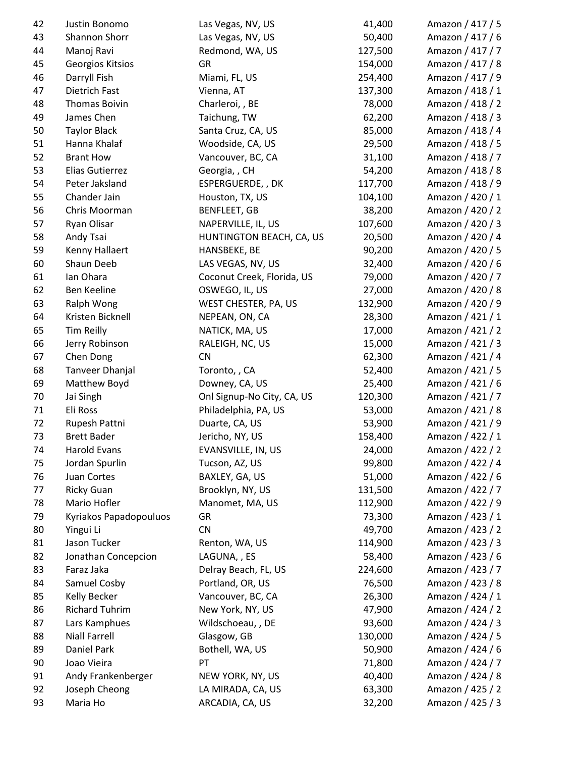| 42 | Justin Bonomo          | Las Vegas, NV, US          | 41,400  | Amazon / 417 / 5 |
|----|------------------------|----------------------------|---------|------------------|
| 43 | Shannon Shorr          | Las Vegas, NV, US          | 50,400  | Amazon / 417 / 6 |
| 44 | Manoj Ravi             | Redmond, WA, US            | 127,500 | Amazon / 417 / 7 |
| 45 | Georgios Kitsios       | GR                         | 154,000 | Amazon / 417 / 8 |
| 46 | Darryll Fish           | Miami, FL, US              | 254,400 | Amazon / 417 / 9 |
| 47 | <b>Dietrich Fast</b>   | Vienna, AT                 | 137,300 | Amazon / 418 / 1 |
| 48 | <b>Thomas Boivin</b>   | Charleroi, , BE            | 78,000  | Amazon / 418 / 2 |
| 49 | James Chen             | Taichung, TW               | 62,200  | Amazon / 418 / 3 |
| 50 | <b>Taylor Black</b>    | Santa Cruz, CA, US         | 85,000  | Amazon / 418 / 4 |
| 51 | Hanna Khalaf           | Woodside, CA, US           | 29,500  | Amazon / 418 / 5 |
| 52 | <b>Brant How</b>       | Vancouver, BC, CA          | 31,100  | Amazon / 418 / 7 |
| 53 | Elias Gutierrez        | Georgia, , CH              | 54,200  | Amazon / 418 / 8 |
| 54 | Peter Jaksland         | ESPERGUERDE, , DK          | 117,700 | Amazon / 418 / 9 |
| 55 | Chander Jain           | Houston, TX, US            | 104,100 | Amazon / 420 / 1 |
| 56 | Chris Moorman          | <b>BENFLEET, GB</b>        | 38,200  | Amazon / 420 / 2 |
| 57 | Ryan Olisar            | NAPERVILLE, IL, US         | 107,600 | Amazon / 420 / 3 |
| 58 | Andy Tsai              | HUNTINGTON BEACH, CA, US   | 20,500  | Amazon / 420 / 4 |
| 59 | Kenny Hallaert         | HANSBEKE, BE               | 90,200  | Amazon / 420 / 5 |
| 60 | Shaun Deeb             | LAS VEGAS, NV, US          | 32,400  | Amazon / 420 / 6 |
| 61 | Ian Ohara              | Coconut Creek, Florida, US | 79,000  | Amazon / 420 / 7 |
| 62 | Ben Keeline            | OSWEGO, IL, US             | 27,000  | Amazon / 420 / 8 |
| 63 | Ralph Wong             | WEST CHESTER, PA, US       | 132,900 | Amazon / 420 / 9 |
| 64 | Kristen Bicknell       | NEPEAN, ON, CA             | 28,300  | Amazon / 421 / 1 |
| 65 | <b>Tim Reilly</b>      | NATICK, MA, US             | 17,000  | Amazon / 421 / 2 |
| 66 | Jerry Robinson         | RALEIGH, NC, US            | 15,000  | Amazon / 421 / 3 |
| 67 | Chen Dong              | <b>CN</b>                  | 62,300  | Amazon / 421 / 4 |
| 68 | Tanveer Dhanjal        | Toronto,, CA               | 52,400  | Amazon / 421 / 5 |
| 69 | Matthew Boyd           | Downey, CA, US             | 25,400  | Amazon / 421 / 6 |
| 70 |                        |                            | 120,300 |                  |
|    | Jai Singh              | Onl Signup-No City, CA, US |         | Amazon / 421 / 7 |
| 71 | Eli Ross               | Philadelphia, PA, US       | 53,000  | Amazon / 421 / 8 |
| 72 | Rupesh Pattni          | Duarte, CA, US             | 53,900  | Amazon / 421 / 9 |
| 73 | <b>Brett Bader</b>     | Jericho, NY, US            | 158,400 | Amazon / 422 / 1 |
| 74 | <b>Harold Evans</b>    | EVANSVILLE, IN, US         | 24,000  | Amazon / 422 / 2 |
| 75 | Jordan Spurlin         | Tucson, AZ, US             | 99,800  | Amazon / 422 / 4 |
| 76 | Juan Cortes            | BAXLEY, GA, US             | 51,000  | Amazon / 422 / 6 |
| 77 | <b>Ricky Guan</b>      | Brooklyn, NY, US           | 131,500 | Amazon / 422 / 7 |
| 78 | Mario Hofler           | Manomet, MA, US            | 112,900 | Amazon / 422 / 9 |
| 79 | Kyriakos Papadopouluos | GR                         | 73,300  | Amazon / 423 / 1 |
| 80 | Yingui Li              | <b>CN</b>                  | 49,700  | Amazon / 423 / 2 |
| 81 | Jason Tucker           | Renton, WA, US             | 114,900 | Amazon / 423 / 3 |
| 82 | Jonathan Concepcion    | LAGUNA, , ES               | 58,400  | Amazon / 423 / 6 |
| 83 | Faraz Jaka             | Delray Beach, FL, US       | 224,600 | Amazon / 423 / 7 |
| 84 | Samuel Cosby           | Portland, OR, US           | 76,500  | Amazon / 423 / 8 |
| 85 | Kelly Becker           | Vancouver, BC, CA          | 26,300  | Amazon / 424 / 1 |
| 86 | <b>Richard Tuhrim</b>  | New York, NY, US           | 47,900  | Amazon / 424 / 2 |
| 87 | Lars Kamphues          | Wildschoeau, , DE          | 93,600  | Amazon / 424 / 3 |
| 88 | <b>Niall Farrell</b>   | Glasgow, GB                | 130,000 | Amazon / 424 / 5 |
| 89 | Daniel Park            | Bothell, WA, US            | 50,900  | Amazon / 424 / 6 |
| 90 | Joao Vieira            | PT                         | 71,800  | Amazon / 424 / 7 |
| 91 | Andy Frankenberger     | NEW YORK, NY, US           | 40,400  | Amazon / 424 / 8 |
| 92 | Joseph Cheong          | LA MIRADA, CA, US          | 63,300  | Amazon / 425 / 2 |
| 93 | Maria Ho               | ARCADIA, CA, US            | 32,200  | Amazon / 425 / 3 |